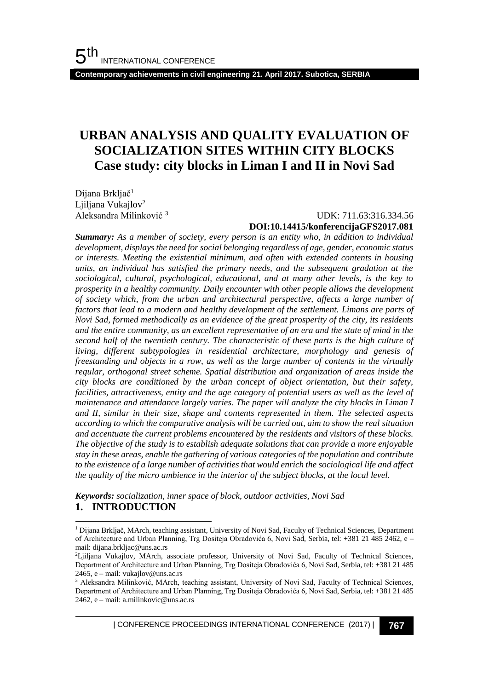**Contemporary achievements in civil engineering 21. April 2017. Subotica, SERBIA**

# **URBAN ANALYSIS AND QUALITY EVALUATION OF SOCIALIZATION SITES WITHIN CITY BLOCKS Case study: city blocks in Liman I and II in Novi Sad**

Dijana Brkljač<sup>1</sup> Ljiljana Vukajlov<sup>2</sup> Aleksandra Milinković <sup>3</sup>

l

### UDK: 711.63:316.334.56 **DOI:10.14415/konferencijaGFS2017.081**

*Summary: As a member of society, every person is an entity who, in addition to individual development, displays the need for social belonging regardless of age, gender, economic status or interests. Meeting the existential minimum, and often with extended contents in housing units, an individual has satisfied the primary needs, and the subsequent gradation at the sociological, cultural, psychological, educational, and at many other levels, is the key to prosperity in a healthy community. Daily encounter with other people allows the development of society which, from the urban and architectural perspective, affects a large number of factors that lead to a modern and healthy development of the settlement. Limans are parts of Novi Sad, formed methodically as an evidence of the great prosperity of the city, its residents and the entire community, as an excellent representative of an era and the state of mind in the second half of the twentieth century. The characteristic of these parts is the high culture of living, different subtypologies in residential architecture, morphology and genesis of freestanding and objects in a row, as well as the large number of contents in the virtually regular, orthogonal street scheme. Spatial distribution and organization of areas inside the city blocks are conditioned by the urban concept of object orientation, but their safety, facilities, attractiveness, entity and the age category of potential users as well as the level of maintenance and attendance largely varies. The paper will analyze the city blocks in Liman I and II, similar in their size, shape and contents represented in them. The selected aspects according to which the comparative analysis will be carried out, aim to show the real situation and accentuate the current problems encountered by the residents and visitors of these blocks. The objective of the study is to establish adequate solutions that can provide a more enjoyable stay in these areas, enable the gathering of various categories of the population and contribute to the existence of a large number of activities that would enrich the sociological life and affect the quality of the micro ambience in the interior of the subject blocks, at the local level.*

*Keywords: socialization, inner space of block, outdoor activities, Novi Sad* **1. INTRODUCTION**

| CONFERENCE PROCEEDINGS INTERNATIONAL CONFERENCE (2017) <sup>|</sup>**767**

<sup>1</sup> Dijana Brkljač, MArch, teaching assistant, University of Novi Sad, Faculty of Technical Sciences, Department of Architecture and Urban Planning, Trg Dositeja Obradovića 6, Novi Sad, Serbia, tel: +381 21 485 2462, e – mail: dijana.brkljac@uns.ac.rs

<sup>2</sup>Ljiljana Vukajlov, MArch, associate professor, University of Novi Sad, Faculty of Technical Sciences, Department of Architecture and Urban Planning, Trg Dositeja Obradovića 6, Novi Sad, Serbia, tel: +381 21 485 2465, e – mail: vukajlov@uns.ac.rs

<sup>3</sup> Aleksandra Milinković, MArch, teaching assistant, University of Novi Sad, Faculty of Technical Sciences, Department of Architecture and Urban Planning, Trg Dositeja Obradovića 6, Novi Sad, Serbia, tel: +381 21 485 2462, e – mail: a.milinkovic@uns.ac.rs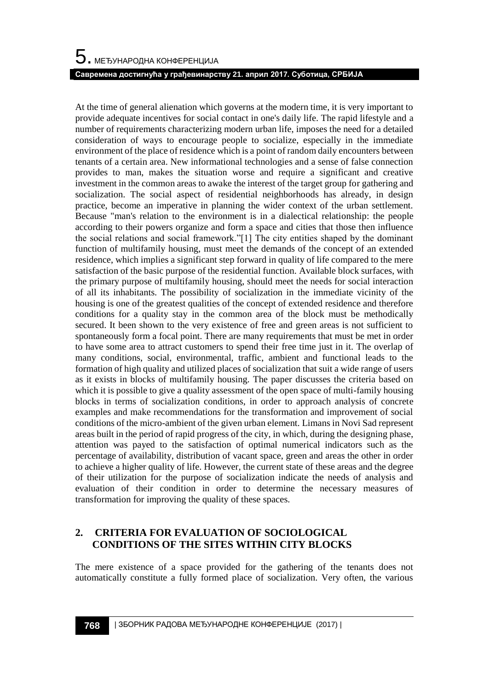At the time of general alienation which governs at the modern time, it is very important to provide adequate incentives for social contact in one's daily life. The rapid lifestyle and a number of requirements characterizing modern urban life, imposes the need for a detailed consideration of ways to encourage people to socialize, especially in the immediate environment of the place of residence which is a point of random daily encounters between tenants of a certain area. New informational technologies and a sense of false connection provides to man, makes the situation worse and require a significant and creative investment in the common areas to awake the interest of the target group for gathering and socialization. The social aspect of residential neighborhoods has already, in design practice, become an imperative in planning the wider context of the urban settlement. Because "man's relation to the environment is in a dialectical relationship: the people according to their powers organize and form a space and cities that those then influence the social relations and social framework."[1] The city entities shaped by the dominant function of multifamily housing, must meet the demands of the concept of an extended residence, which implies a significant step forward in quality of life compared to the mere satisfaction of the basic purpose of the residential function. Available block surfaces, with the primary purpose of multifamily housing, should meet the needs for social interaction of all its inhabitants. The possibility of socialization in the immediate vicinity of the housing is one of the greatest qualities of the concept of extended residence and therefore conditions for a quality stay in the common area of the block must be methodically secured. It been shown to the very existence of free and green areas is not sufficient to spontaneously form a focal point. There are many requirements that must be met in order to have some area to attract customers to spend their free time just in it. The overlap of many conditions, social, environmental, traffic, ambient and functional leads to the formation of high quality and utilized places of socialization that suit a wide range of users as it exists in blocks of multifamily housing. The paper discusses the criteria based on which it is possible to give a quality assessment of the open space of multi-family housing blocks in terms of socialization conditions, in order to approach analysis of concrete examples and make recommendations for the transformation and improvement of social conditions of the micro-ambient of the given urban element. Limans in Novi Sad represent areas built in the period of rapid progress of the city, in which, during the designing phase, attention was payed to the satisfaction of optimal numerical indicators such as the percentage of availability, distribution of vacant space, green and areas the other in order to achieve a higher quality of life. However, the current state of these areas and the degree of their utilization for the purpose of socialization indicate the needs of analysis and evaluation of their condition in order to determine the necessary measures of transformation for improving the quality of these spaces.

# **2. CRITERIA FOR EVALUATION OF SOCIOLOGICAL CONDITIONS OF THE SITES WITHIN CITY BLOCKS**

The mere existence of a space provided for the gathering of the tenants does not automatically constitute a fully formed place of socialization. Very often, the various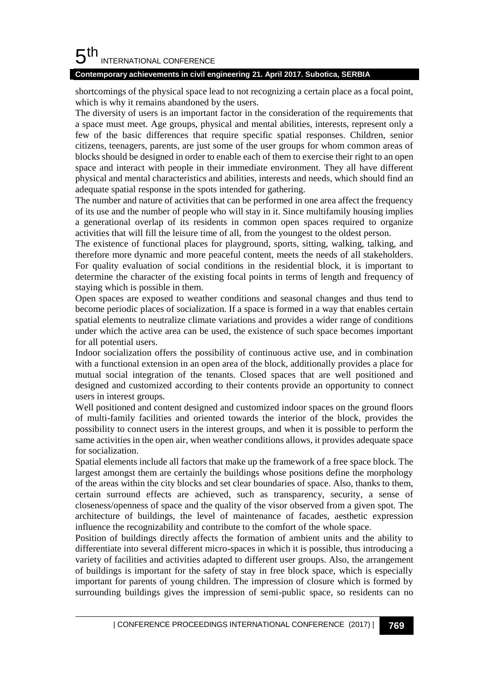#### 5 th INTERNATIONAL CONFERENCE

### **Contemporary achievements in civil engineering 21. April 2017. Subotica, SERBIA**

shortcomings of the physical space lead to not recognizing a certain place as a focal point, which is why it remains abandoned by the users.

The diversity of users is an important factor in the consideration of the requirements that a space must meet. Age groups, physical and mental abilities, interests, represent only a few of the basic differences that require specific spatial responses. Children, senior citizens, teenagers, parents, are just some of the user groups for whom common areas of blocks should be designed in order to enable each of them to exercise their right to an open space and interact with people in their immediate environment. They all have different physical and mental characteristics and abilities, interests and needs, which should find an adequate spatial response in the spots intended for gathering.

The number and nature of activities that can be performed in one area affect the frequency of its use and the number of people who will stay in it. Since multifamily housing implies a generational overlap of its residents in common open spaces required to organize activities that will fill the leisure time of all, from the youngest to the oldest person.

The existence of functional places for playground, sports, sitting, walking, talking, and therefore more dynamic and more peaceful content, meets the needs of all stakeholders. For quality evaluation of social conditions in the residential block, it is important to determine the character of the existing focal points in terms of length and frequency of staying which is possible in them.

Open spaces are exposed to weather conditions and seasonal changes and thus tend to become periodic places of socialization. If a space is formed in a way that enables certain spatial elements to neutralize climate variations and provides a wider range of conditions under which the active area can be used, the existence of such space becomes important for all potential users.

Indoor socialization offers the possibility of continuous active use, and in combination with a functional extension in an open area of the block, additionally provides a place for mutual social integration of the tenants. Closed spaces that are well positioned and designed and customized according to their contents provide an opportunity to connect users in interest groups.

Well positioned and content designed and customized indoor spaces on the ground floors of multi-family facilities and oriented towards the interior of the block, provides the possibility to connect users in the interest groups, and when it is possible to perform the same activities in the open air, when weather conditions allows, it provides adequate space for socialization.

Spatial elements include all factors that make up the framework of a free space block. The largest amongst them are certainly the buildings whose positions define the morphology of the areas within the city blocks and set clear boundaries of space. Also, thanks to them, certain surround effects are achieved, such as transparency, security, a sense of closeness/openness of space and the quality of the visor observed from a given spot. The architecture of buildings, the level of maintenance of facades, aesthetic expression influence the recognizability and contribute to the comfort of the whole space.

Position of buildings directly affects the formation of ambient units and the ability to differentiate into several different micro-spaces in which it is possible, thus introducing a variety of facilities and activities adapted to different user groups. Also, the arrangement of buildings is important for the safety of stay in free block space, which is especially important for parents of young children. The impression of closure which is formed by surrounding buildings gives the impression of semi-public space, so residents can no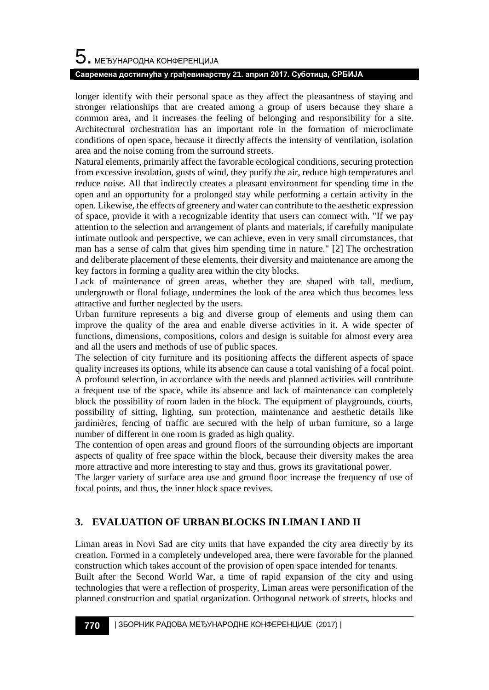# $\mathbf 5$ . међународна конференција

### **Савремена достигнућа у грађевинарству 21. април 2017. Суботица, СРБИЈА**

longer identify with their personal space as they affect the pleasantness of staying and stronger relationships that are created among a group of users because they share a common area, and it increases the feeling of belonging and responsibility for a site. Architectural orchestration has an important role in the formation of microclimate conditions of open space, because it directly affects the intensity of ventilation, isolation area and the noise coming from the surround streets.

Natural elements, primarily affect the favorable ecological conditions, securing protection from excessive insolation, gusts of wind, they purify the air, reduce high temperatures and reduce noise. All that indirectly creates a pleasant environment for spending time in the open and an opportunity for a prolonged stay while performing a certain activity in the open. Likewise, the effects of greenery and water can contribute to the aesthetic expression of space, provide it with a recognizable identity that users can connect with. "If we pay attention to the selection and arrangement of plants and materials, if carefully manipulate intimate outlook and perspective, we can achieve, even in very small circumstances, that man has a sense of calm that gives him spending time in nature." [2] The orchestration and deliberate placement of these elements, their diversity and maintenance are among the key factors in forming a quality area within the city blocks.

Lack of maintenance of green areas, whether they are shaped with tall, medium, undergrowth or floral foliage, undermines the look of the area which thus becomes less attractive and further neglected by the users.

Urban furniture represents a big and diverse group of elements and using them can improve the quality of the area and enable diverse activities in it. A wide specter of functions, dimensions, compositions, colors and design is suitable for almost every area and all the users and methods of use of public spaces.

The selection of city furniture and its positioning affects the different aspects of space quality increases its options, while its absence can cause a total vanishing of a focal point. A profound selection, in accordance with the needs and planned activities will contribute a frequent use of the space, while its absence and lack of maintenance can completely block the possibility of room laden in the block. The equipment of playgrounds, courts, possibility of sitting, lighting, sun protection, maintenance and aesthetic details like jardinières, fencing of traffic are secured with the help of urban furniture, so a large number of different in one room is graded as high quality.

The contention of open areas and ground floors of the surrounding objects are important aspects of quality of free space within the block, because their diversity makes the area more attractive and more interesting to stay and thus, grows its gravitational power.

The larger variety of surface area use and ground floor increase the frequency of use of focal points, and thus, the inner block space revives.

# **3. EVALUATION OF URBAN BLOCKS IN LIMAN I AND II**

Liman areas in Novi Sad are city units that have expanded the city area directly by its creation. Formed in a completely undeveloped area, there were favorable for the planned construction which takes account of the provision of open space intended for tenants.

Built after the Second World War, a time of rapid expansion of the city and using technologies that were a reflection of prosperity, Liman areas were personification of the planned construction and spatial organization. Orthogonal network of streets, blocks and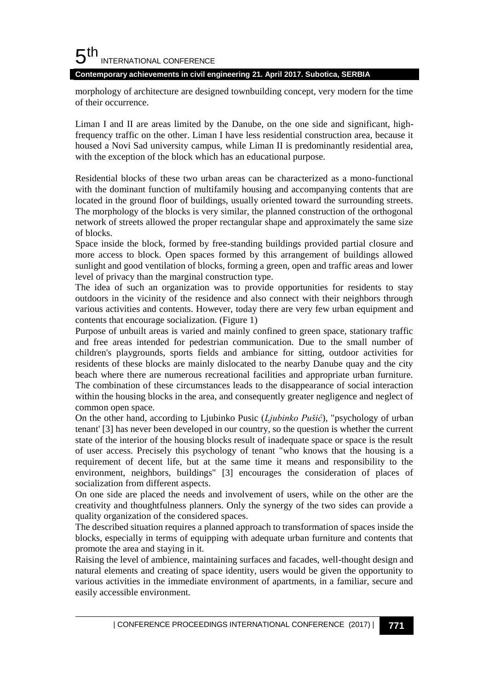#### 5 th INTERNATIONAL CONFERENCE

**Contemporary achievements in civil engineering 21. April 2017. Subotica, SERBIA**

morphology of architecture are designed townbuilding concept, very modern for the time of their occurrence.

Liman I and II are areas limited by the Danube, on the one side and significant, highfrequency traffic on the other. Liman I have less residential construction area, because it housed a Novi Sad university campus, while Liman II is predominantly residential area, with the exception of the block which has an educational purpose.

Residential blocks of these two urban areas can be characterized as a mono-functional with the dominant function of multifamily housing and accompanying contents that are located in the ground floor of buildings, usually oriented toward the surrounding streets. The morphology of the blocks is very similar, the planned construction of the orthogonal network of streets allowed the proper rectangular shape and approximately the same size of blocks.

Space inside the block, formed by free-standing buildings provided partial closure and more access to block. Open spaces formed by this arrangement of buildings allowed sunlight and good ventilation of blocks, forming a green, open and traffic areas and lower level of privacy than the marginal construction type.

The idea of such an organization was to provide opportunities for residents to stay outdoors in the vicinity of the residence and also connect with their neighbors through various activities and contents. However, today there are very few urban equipment and contents that encourage socialization. (Figure 1)

Purpose of unbuilt areas is varied and mainly confined to green space, stationary traffic and free areas intended for pedestrian communication. Due to the small number of children's playgrounds, sports fields and ambiance for sitting, outdoor activities for residents of these blocks are mainly dislocated to the nearby Danube quay and the city beach where there are numerous recreational facilities and appropriate urban furniture. The combination of these circumstances leads to the disappearance of social interaction within the housing blocks in the area, and consequently greater negligence and neglect of common open space.

On the other hand, according to Ljubinko Pusic (*Ljubinko Pušić*), "psychology of urban tenant' [3] has never been developed in our country, so the question is whether the current state of the interior of the housing blocks result of inadequate space or space is the result of user access. Precisely this psychology of tenant "who knows that the housing is a requirement of decent life, but at the same time it means and responsibility to the environment, neighbors, buildings" [3] encourages the consideration of places of socialization from different aspects.

On one side are placed the needs and involvement of users, while on the other are the creativity and thoughtfulness planners. Only the synergy of the two sides can provide a quality organization of the considered spaces.

The described situation requires a planned approach to transformation of spaces inside the blocks, especially in terms of equipping with adequate urban furniture and contents that promote the area and staying in it.

Raising the level of ambience, maintaining surfaces and facades, well-thought design and natural elements and creating of space identity, users would be given the opportunity to various activities in the immediate environment of apartments, in a familiar, secure and easily accessible environment.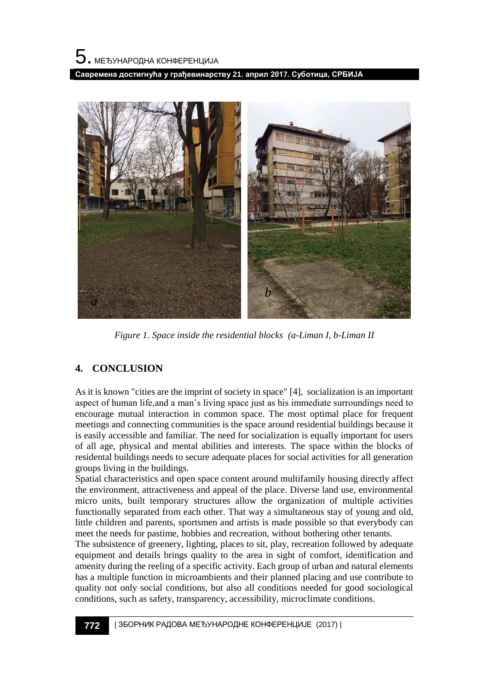



*Figure 1. Space inside the residential blocks (a-Liman I, b-Liman II*

# **4. CONCLUSION**

As it is known "cities are the imprint of society in space" [4], socialization is an important aspect of human life,and a man's living space just as his immediate surroundings need to encourage mutual interaction in common space. The most optimal place for frequent meetings and connecting communities is the space around residential buildings because it is easily accessible and familiar. The need for socialization is equally important for users of all age, physical and mental abilities and interests. The space within the blocks of residental buildings needs to secure adequate places for social activities for all generation groups living in the buildings.

Spatial characteristics and open space content around multifamily housing directly affect the environment, attractiveness and appeal of the place. Diverse land use, environmental micro units, built temporary structures allow the organization of multiple activities functionally separated from each other. That way a simultaneous stay of young and old, little children and parents, sportsmen and artists is made possible so that everybody can meet the needs for pastime, hobbies and recreation, without bothering other tenants.

The subsistence of greenery, lighting, places to sit, play, recreation followed by adequate equipment and details brings quality to the area in sight of comfort, identification and amenity during the reeling of a specific activity. Each group of urban and natural elements has a multiple function in microambients and their planned placing and use contribute to quality not only social conditions, but also all conditions needed for good sociological conditions, such as safety, transparency, accessibility, microclimate conditions.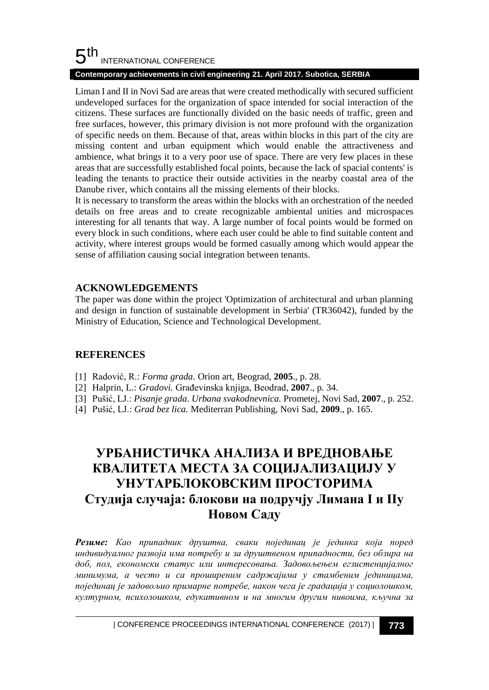#### 5 th INTERNATIONAL CONFERENCE

### **Contemporary achievements in civil engineering 21. April 2017. Subotica, SERBIA**

Liman I and II in Novi Sad are areas that were created methodically with secured sufficient undeveloped surfaces for the organization of space intended for social interaction of the citizens. These surfaces are functionally divided on the basic needs of traffic, green and free surfaces, however, this primary division is not more profound with the organization of specific needs on them. Because of that, areas within blocks in this part of the city are missing content and urban equipment which would enable the attractiveness and ambience, what brings it to a very poor use of space. There are very few places in these areas that are successfully established focal points, because the lack of spacial contents' is leading the tenants to practice their outside activities in the nearby coastal area of the Danube river, which contains all the missing elements of their blocks.

It is necessary to transform the areas within the blocks with an orchestration of the needed details on free areas and to create recognizable ambiental unities and microspaces interesting for all tenants that way. A large number of focal points would be formed on every block in such conditions, where each user could be able to find suitable content and activity, where interest groups would be formed casually among which would appear the sense of affiliation causing social integration between tenants.

## **ACKNOWLEDGEMENTS**

The paper was done within the project 'Optimization of architectural and urban planning and design in function of sustainable development in Serbia' (TR36042), funded by the Ministry of Education, Science and Technological Development.

# **REFERENCES**

- [1] Radović, R.: *Forma grada.* Orion art, Beograd, **2005**., p. 28.
- [2] Halprin, L.: *Gradovi.* Građevinska knjiga, Beodrad, **2007**., p. 34.
- [3] Pušić, LJ.: *Pisanje grada. Urbana svakodnevnica.* Prometej, Novi Sad, **2007**., p. 252.
- [4] Pušić, LJ.: *Grad bez lica.* Mediterran Publishing, Novi Sad, **2009**., p. 165.

# **УРБАНИСТИЧКА АНАЛИЗА И ВРЕДНОВАЊЕ КВАЛИТЕТА МЕСТА ЗА СОЦИЈАЛИЗАЦИЈУ У УНУТАРБЛОКОВСКИМ ПРОСТОРИМА Студија случаја: блокови на подручју Лимана I и IIу Новом Саду**

*Резиме: Као припадник друштва, сваки појединац је јединка која поред индивидуалног развоја има потребу и за друштвеном припадности, без обзира на доб, пол, економски статус или интересовања. Задовољењем егзистенцијалног минимума, а често и са проширеним садржајима у стамбеним јединицама, појединац је задовољио примарне потребе, након чега је градација у социолошком, културном, психолошком, едукативном и на многим другим нивоима, кључна за*